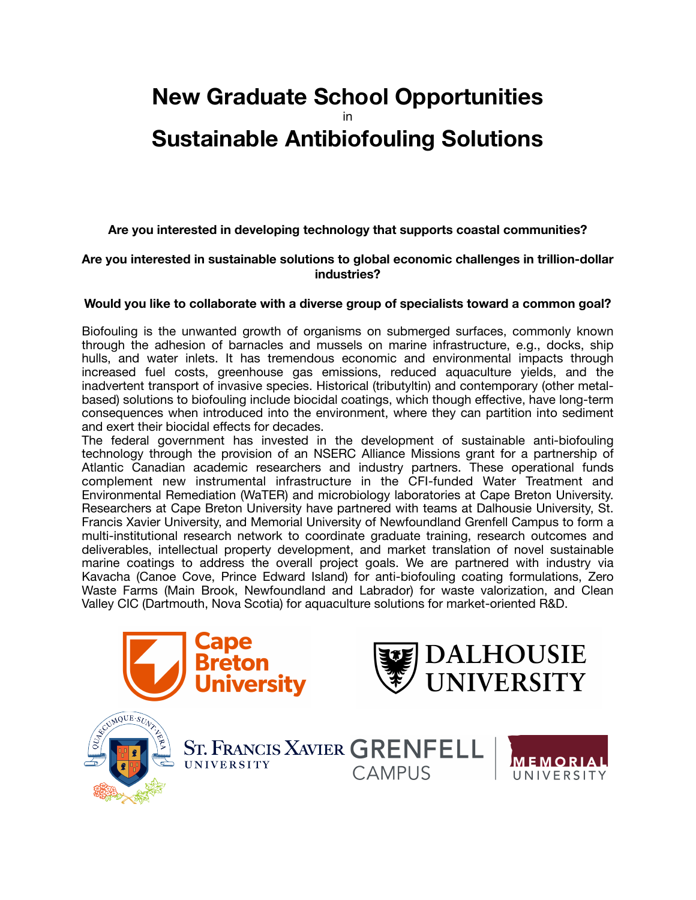# **New Graduate School Opportunities**  in **Sustainable Antibiofouling Solutions**

**Are you interested in developing technology that supports coastal communities?** 

# **Are you interested in sustainable solutions to global economic challenges in trillion-dollar industries?**

# **Would you like to collaborate with a diverse group of specialists toward a common goal?**

Biofouling is the unwanted growth of organisms on submerged surfaces, commonly known through the adhesion of barnacles and mussels on marine infrastructure, e.g., docks, ship hulls, and water inlets. It has tremendous economic and environmental impacts through increased fuel costs, greenhouse gas emissions, reduced aquaculture yields, and the inadvertent transport of invasive species. Historical (tributyltin) and contemporary (other metalbased) solutions to biofouling include biocidal coatings, which though effective, have long-term consequences when introduced into the environment, where they can partition into sediment and exert their biocidal effects for decades.

The federal government has invested in the development of sustainable anti-biofouling technology through the provision of an NSERC Alliance Missions grant for a partnership of Atlantic Canadian academic researchers and industry partners. These operational funds complement new instrumental infrastructure in the CFI-funded Water Treatment and Environmental Remediation (WaTER) and microbiology laboratories at Cape Breton University. Researchers at Cape Breton University have partnered with teams at Dalhousie University, St. Francis Xavier University, and Memorial University of Newfoundland Grenfell Campus to form a multi-institutional research network to coordinate graduate training, research outcomes and deliverables, intellectual property development, and market translation of novel sustainable marine coatings to address the overall project goals. We are partnered with industry via Kavacha (Canoe Cove, Prince Edward Island) for anti-biofouling coating formulations, Zero Waste Farms (Main Brook, Newfoundland and Labrador) for waste valorization, and Clean Valley CIC (Dartmouth, Nova Scotia) for aquaculture solutions for market-oriented R&D.







ST. FRANCIS XAVIER GRENFELL

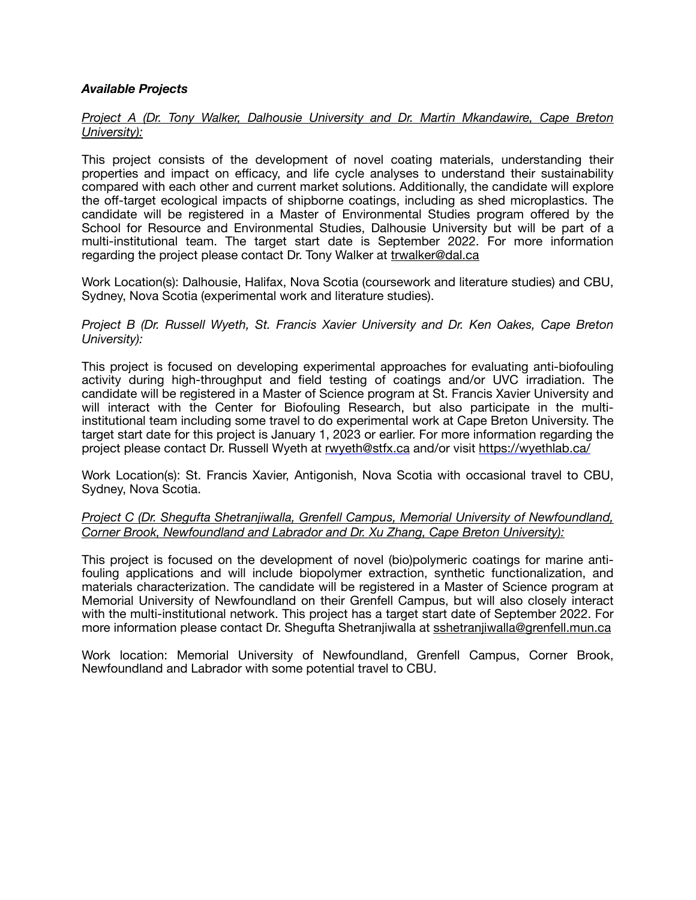# *Available Projects*

# *Project A (Dr. Tony Walker, Dalhousie University and Dr. Martin Mkandawire, Cape Breton University):*

This project consists of the development of novel coating materials, understanding their properties and impact on efficacy, and life cycle analyses to understand their sustainability compared with each other and current market solutions. Additionally, the candidate will explore the off-target ecological impacts of shipborne coatings, including as shed microplastics. The candidate will be registered in a Master of Environmental Studies program offered by the School for Resource and Environmental Studies, Dalhousie University but will be part of a multi-institutional team. The target start date is September 2022. For more information regarding the project please contact Dr. Tony Walker at [trwalker@dal.ca](mailto:trwalker@dal.ca)

Work Location(s): Dalhousie, Halifax, Nova Scotia (coursework and literature studies) and CBU, Sydney, Nova Scotia (experimental work and literature studies).

#### *Project B (Dr. Russell Wyeth, St. Francis Xavier University and Dr. Ken Oakes, Cape Breton University):*

This project is focused on developing experimental approaches for evaluating anti-biofouling activity during high-throughput and field testing of coatings and/or UVC irradiation. The candidate will be registered in a Master of Science program at St. Francis Xavier University and will interact with the Center for Biofouling Research, but also participate in the multiinstitutional team including some travel to do experimental work at Cape Breton University. The target start date for this project is January 1, 2023 or earlier. For more information regarding the project please contact Dr. Russell Wyeth at [rwyeth@stfx.ca](mailto:rwyeth@stfx.ca) and/or visit<https://wyethlab.ca/>

Work Location(s): St. Francis Xavier, Antigonish, Nova Scotia with occasional travel to CBU, Sydney, Nova Scotia.

#### *Project C (Dr. Shegufta Shetranjiwalla, Grenfell Campus, Memorial University of Newfoundland, Corner Brook, Newfoundland and Labrador and Dr. Xu Zhang, Cape Breton University):*

This project is focused on the development of novel (bio)polymeric coatings for marine antifouling applications and will include biopolymer extraction, synthetic functionalization, and materials characterization. The candidate will be registered in a Master of Science program at Memorial University of Newfoundland on their Grenfell Campus, but will also closely interact with the multi-institutional network. This project has a target start date of September 2022. For more information please contact Dr. Shegufta Shetranjiwalla at [sshetranjiwalla@grenfell.mun.ca](mailto:sshetranjiwalla@grenfell.mun.ca)

Work location: Memorial University of Newfoundland, Grenfell Campus, Corner Brook, Newfoundland and Labrador with some potential travel to CBU.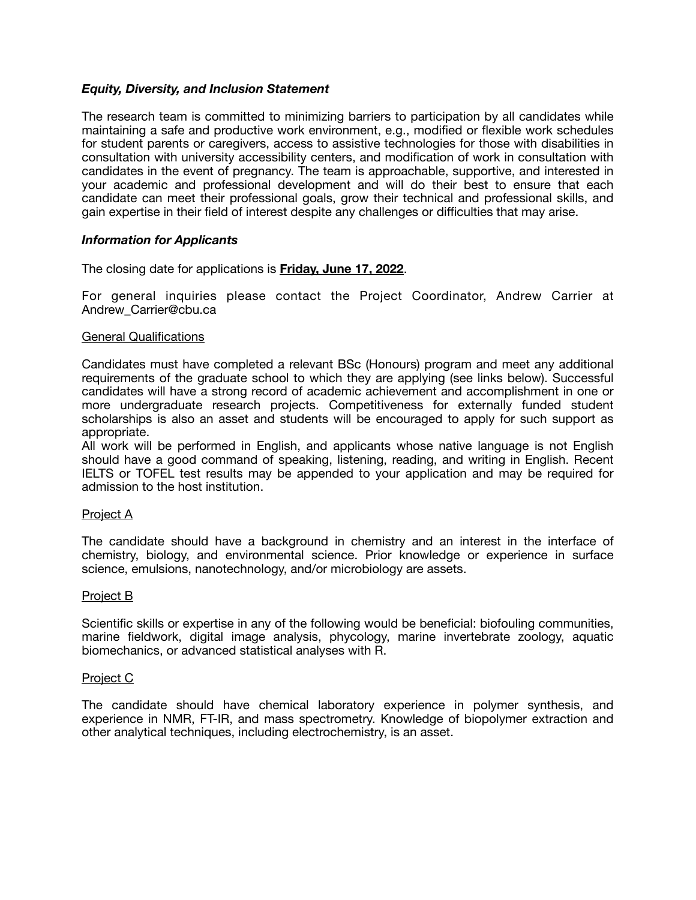#### *Equity, Diversity, and Inclusion Statement*

The research team is committed to minimizing barriers to participation by all candidates while maintaining a safe and productive work environment, e.g., modified or flexible work schedules for student parents or caregivers, access to assistive technologies for those with disabilities in consultation with university accessibility centers, and modification of work in consultation with candidates in the event of pregnancy. The team is approachable, supportive, and interested in your academic and professional development and will do their best to ensure that each candidate can meet their professional goals, grow their technical and professional skills, and gain expertise in their field of interest despite any challenges or difficulties that may arise.

# *Information for Applicants*

The closing date for applications is **Friday, June 17, 2022**.

For general inquiries please contact the Project Coordinator, Andrew Carrier at Andrew\_Carrier@cbu.ca

#### General Qualifications

Candidates must have completed a relevant BSc (Honours) program and meet any additional requirements of the graduate school to which they are applying (see links below). Successful candidates will have a strong record of academic achievement and accomplishment in one or more undergraduate research projects. Competitiveness for externally funded student scholarships is also an asset and students will be encouraged to apply for such support as appropriate.

All work will be performed in English, and applicants whose native language is not English should have a good command of speaking, listening, reading, and writing in English. Recent IELTS or TOFEL test results may be appended to your application and may be required for admission to the host institution.

#### Project A

The candidate should have a background in chemistry and an interest in the interface of chemistry, biology, and environmental science. Prior knowledge or experience in surface science, emulsions, nanotechnology, and/or microbiology are assets.

#### Project B

Scientific skills or expertise in any of the following would be beneficial: biofouling communities, marine fieldwork, digital image analysis, phycology, marine invertebrate zoology, aquatic biomechanics, or advanced statistical analyses with R.

#### Project C

The candidate should have chemical laboratory experience in polymer synthesis, and experience in NMR, FT-IR, and mass spectrometry. Knowledge of biopolymer extraction and other analytical techniques, including electrochemistry, is an asset.